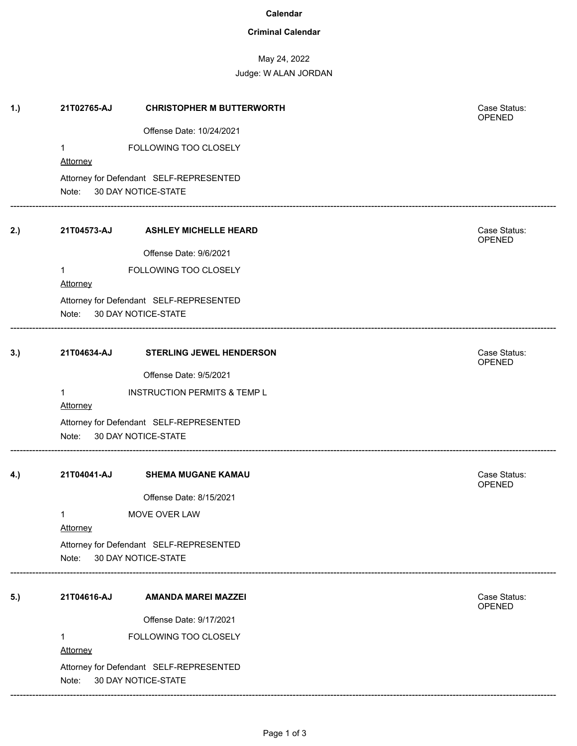#### **Calendar**

## **Criminal Calendar**

# May 24, 2022

Judge: W ALAN JORDAN

| 1.) | 21T02765-AJ                                                             | <b>CHRISTOPHER M BUTTERWORTH</b>        | Case Status:<br>OPENED        |
|-----|-------------------------------------------------------------------------|-----------------------------------------|-------------------------------|
|     |                                                                         | Offense Date: 10/24/2021                |                               |
|     | 1<br>Attorney                                                           | FOLLOWING TOO CLOSELY                   |                               |
|     | Note: 30 DAY NOTICE-STATE                                               | Attorney for Defendant SELF-REPRESENTED |                               |
| 2.) | 21T04573-AJ                                                             | <b>ASHLEY MICHELLE HEARD</b>            | Case Status:<br>OPENED        |
|     |                                                                         | Offense Date: 9/6/2021                  |                               |
|     | 1                                                                       | FOLLOWING TOO CLOSELY                   |                               |
|     | <b>Attorney</b>                                                         |                                         |                               |
|     | Attorney for Defendant SELF-REPRESENTED<br>Note:<br>30 DAY NOTICE-STATE |                                         |                               |
| 3.) | 21T04634-AJ                                                             | <b>STERLING JEWEL HENDERSON</b>         | Case Status:<br>OPENED        |
|     |                                                                         | Offense Date: 9/5/2021                  |                               |
|     | 1                                                                       | <b>INSTRUCTION PERMITS &amp; TEMP L</b> |                               |
|     | <b>Attorney</b>                                                         |                                         |                               |
|     | Attorney for Defendant SELF-REPRESENTED<br>30 DAY NOTICE-STATE<br>Note: |                                         |                               |
| 4.) | 21T04041-AJ                                                             | <b>SHEMA MUGANE KAMAU</b>               | Case Status:<br>OPENED        |
|     |                                                                         | Offense Date: 8/15/2021                 |                               |
|     | 1<br>Attorney                                                           | MOVE OVER LAW                           |                               |
|     | Attorney for Defendant SELF-REPRESENTED                                 |                                         |                               |
|     | Note:                                                                   | 30 DAY NOTICE-STATE                     |                               |
| 5.) | 21T04616-AJ                                                             | <b>AMANDA MAREI MAZZEI</b>              | Case Status:<br><b>OPENED</b> |
|     |                                                                         | Offense Date: 9/17/2021                 |                               |
|     | 1<br><b>Attorney</b>                                                    | FOLLOWING TOO CLOSELY                   |                               |
|     |                                                                         | Attorney for Defendant SELF-REPRESENTED |                               |
|     | 30 DAY NOTICE-STATE<br>Note:                                            |                                         |                               |

------------------------------------------------------------------------------------------------------------------------------------------------------------------------------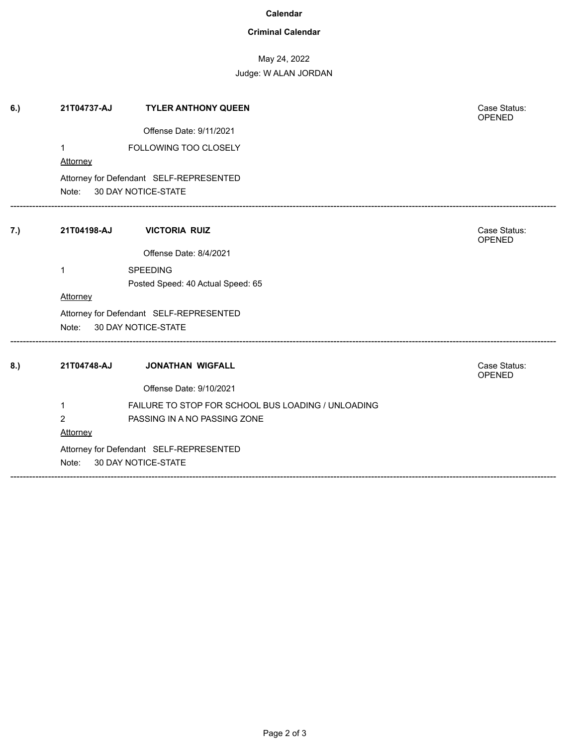#### **Calendar**

## **Criminal Calendar**

# May 24, 2022

Judge: W ALAN JORDAN

| 6.) | 21T04737-AJ                                                          | <b>TYLER ANTHONY QUEEN</b>                                                         | Case Status:<br><b>OPENED</b> |  |  |
|-----|----------------------------------------------------------------------|------------------------------------------------------------------------------------|-------------------------------|--|--|
|     |                                                                      | Offense Date: 9/11/2021                                                            |                               |  |  |
|     | $\mathbf 1$<br><b>Attorney</b>                                       | FOLLOWING TOO CLOSELY                                                              |                               |  |  |
|     |                                                                      | Attorney for Defendant SELF-REPRESENTED<br>Note: 30 DAY NOTICE-STATE               |                               |  |  |
| 7.) | 21T04198-AJ                                                          | <b>VICTORIA RUIZ</b>                                                               | Case Status:<br><b>OPENED</b> |  |  |
|     |                                                                      | Offense Date: 8/4/2021                                                             |                               |  |  |
|     | 1                                                                    | <b>SPEEDING</b><br>Posted Speed: 40 Actual Speed: 65                               |                               |  |  |
|     | Attorney                                                             |                                                                                    |                               |  |  |
|     | Attorney for Defendant SELF-REPRESENTED<br>Note: 30 DAY NOTICE-STATE |                                                                                    |                               |  |  |
| 8.) | 21T04748-AJ                                                          | <b>JONATHAN WIGFALL</b>                                                            | Case Status:<br>OPENED        |  |  |
|     |                                                                      | Offense Date: 9/10/2021                                                            |                               |  |  |
|     | $\mathbf{1}$<br>$\overline{2}$<br>Attorney                           | FAILURE TO STOP FOR SCHOOL BUS LOADING / UNLOADING<br>PASSING IN A NO PASSING ZONE |                               |  |  |
|     | Note:                                                                | Attorney for Defendant SELF-REPRESENTED<br>30 DAY NOTICE-STATE                     |                               |  |  |